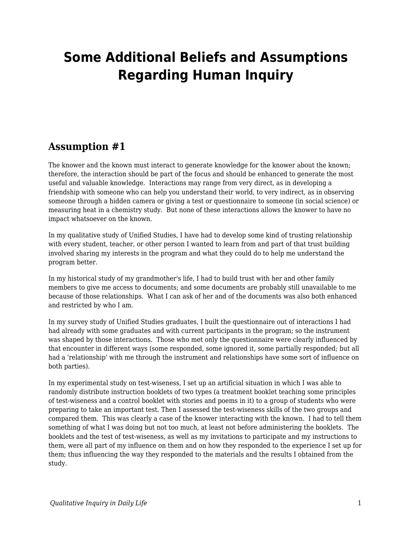# **Some Additional Beliefs and Assumptions Regarding Human Inquiry**

#### **Assumption #1**

The knower and the known must interact to generate knowledge for the knower about the known; therefore, the interaction should be part of the focus and should be enhanced to generate the most useful and valuable knowledge. Interactions may range from very direct, as in developing a friendship with someone who can help you understand their world, to very indirect, as in observing someone through a hidden camera or giving a test or questionnaire to someone (in social science) or measuring heat in a chemistry study. But none of these interactions allows the knower to have no impact whatsoever on the known.

In my qualitative study of Unified Studies, I have had to develop some kind of trusting relationship with every student, teacher, or other person I wanted to learn from and part of that trust building involved sharing my interests in the program and what they could do to help me understand the program better.

In my historical study of my grandmother's life, I had to build trust with her and other family members to give me access to documents; and some documents are probably still unavailable to me because of those relationships. What I can ask of her and of the documents was also both enhanced and restricted by who I am.

In my survey study of Unified Studies graduates, I built the questionnaire out of interactions I had had already with some graduates and with current participants in the program; so the instrument was shaped by those interactions. Those who met only the questionnaire were clearly influenced by that encounter in different ways (some responded, some ignored it, some partially responded; but all had a 'relationship' with me through the instrument and relationships have some sort of influence on both parties).

In my experimental study on test-wiseness, I set up an artificial situation in which I was able to randomly distribute instruction booklets of two types (a treatment booklet teaching some principles of test-wiseness and a control booklet with stories and poems in it) to a group of students who were preparing to take an important test. Then I assessed the test-wiseness skills of the two groups and compared them. This was clearly a case of the knower interacting with the known. I had to tell them something of what I was doing but not too much, at least not before administering the booklets. The booklets and the test of test-wiseness, as well as my invitations to participate and my instructions to them, were all part of my influence on them and on how they responded to the experience I set up for them; thus influencing the way they responded to the materials and the results I obtained from the study.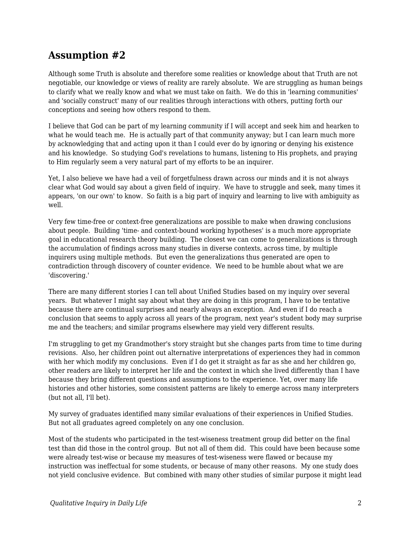#### **Assumption #2**

Although some Truth is absolute and therefore some realities or knowledge about that Truth are not negotiable, our knowledge or views of reality are rarely absolute. We are struggling as human beings to clarify what we really know and what we must take on faith. We do this in 'learning communities' and 'socially construct' many of our realities through interactions with others, putting forth our conceptions and seeing how others respond to them.

I believe that God can be part of my learning community if I will accept and seek him and hearken to what he would teach me. He is actually part of that community anyway; but I can learn much more by acknowledging that and acting upon it than I could ever do by ignoring or denying his existence and his knowledge. So studying God's revelations to humans, listening to His prophets, and praying to Him regularly seem a very natural part of my efforts to be an inquirer.

Yet, I also believe we have had a veil of forgetfulness drawn across our minds and it is not always clear what God would say about a given field of inquiry. We have to struggle and seek, many times it appears, 'on our own' to know. So faith is a big part of inquiry and learning to live with ambiguity as well.

Very few time-free or context-free generalizations are possible to make when drawing conclusions about people. Building 'time- and context-bound working hypotheses' is a much more appropriate goal in educational research theory building. The closest we can come to generalizations is through the accumulation of findings across many studies in diverse contexts, across time, by multiple inquirers using multiple methods. But even the generalizations thus generated are open to contradiction through discovery of counter evidence. We need to be humble about what we are 'discovering.'

There are many different stories I can tell about Unified Studies based on my inquiry over several years. But whatever I might say about what they are doing in this program, I have to be tentative because there are continual surprises and nearly always an exception. And even if I do reach a conclusion that seems to apply across all years of the program, next year's student body may surprise me and the teachers; and similar programs elsewhere may yield very different results.

I'm struggling to get my Grandmother's story straight but she changes parts from time to time during revisions. Also, her children point out alternative interpretations of experiences they had in common with her which modify my conclusions. Even if I do get it straight as far as she and her children go, other readers are likely to interpret her life and the context in which she lived differently than I have because they bring different questions and assumptions to the experience. Yet, over many life histories and other histories, some consistent patterns are likely to emerge across many interpreters (but not all, I'll bet).

My survey of graduates identified many similar evaluations of their experiences in Unified Studies. But not all graduates agreed completely on any one conclusion.

Most of the students who participated in the test-wiseness treatment group did better on the final test than did those in the control group. But not all of them did. This could have been because some were already test-wise or because my measures of test-wiseness were flawed or because my instruction was ineffectual for some students, or because of many other reasons. My one study does not yield conclusive evidence. But combined with many other studies of similar purpose it might lead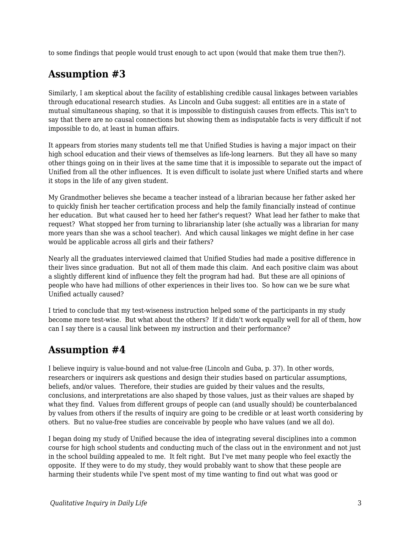to some findings that people would trust enough to act upon (would that make them true then?).

## **Assumption #3**

Similarly, I am skeptical about the facility of establishing credible causal linkages between variables through educational research studies. As Lincoln and Guba suggest: all entities are in a state of mutual simultaneous shaping, so that it is impossible to distinguish causes from effects. This isn't to say that there are no causal connections but showing them as indisputable facts is very difficult if not impossible to do, at least in human affairs.

It appears from stories many students tell me that Unified Studies is having a major impact on their high school education and their views of themselves as life-long learners. But they all have so many other things going on in their lives at the same time that it is impossible to separate out the impact of Unified from all the other influences. It is even difficult to isolate just where Unified starts and where it stops in the life of any given student.

My Grandmother believes she became a teacher instead of a librarian because her father asked her to quickly finish her teacher certification process and help the family financially instead of continue her education. But what caused her to heed her father's request? What lead her father to make that request? What stopped her from turning to librarianship later (she actually was a librarian for many more years than she was a school teacher). And which causal linkages we might define in her case would be applicable across all girls and their fathers?

Nearly all the graduates interviewed claimed that Unified Studies had made a positive difference in their lives since graduation. But not all of them made this claim. And each positive claim was about a slightly different kind of influence they felt the program had had. But these are all opinions of people who have had millions of other experiences in their lives too. So how can we be sure what Unified actually caused?

I tried to conclude that my test-wiseness instruction helped some of the participants in my study become more test-wise. But what about the others? If it didn't work equally well for all of them, how can I say there is a causal link between my instruction and their performance?

### **Assumption #4**

I believe inquiry is value-bound and not value-free (Lincoln and Guba, p. 37). In other words, researchers or inquirers ask questions and design their studies based on particular assumptions, beliefs, and/or values. Therefore, their studies are guided by their values and the results, conclusions, and interpretations are also shaped by those values, just as their values are shaped by what they find. Values from different groups of people can (and usually should) be counterbalanced by values from others if the results of inquiry are going to be credible or at least worth considering by others. But no value-free studies are conceivable by people who have values (and we all do).

I began doing my study of Unified because the idea of integrating several disciplines into a common course for high school students and conducting much of the class out in the environment and not just in the school building appealed to me. It felt right. But I've met many people who feel exactly the opposite. If they were to do my study, they would probably want to show that these people are harming their students while I've spent most of my time wanting to find out what was good or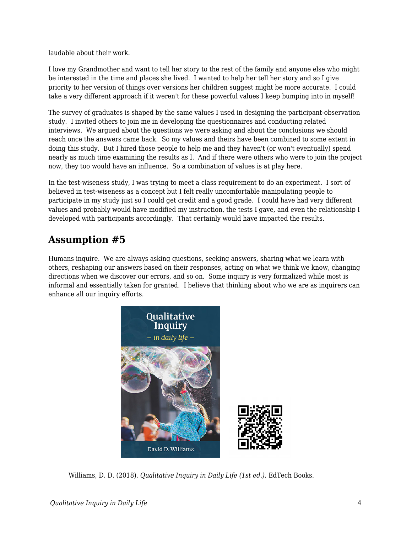laudable about their work.

I love my Grandmother and want to tell her story to the rest of the family and anyone else who might be interested in the time and places she lived. I wanted to help her tell her story and so I give priority to her version of things over versions her children suggest might be more accurate. I could take a very different approach if it weren't for these powerful values I keep bumping into in myself!

The survey of graduates is shaped by the same values I used in designing the participant-observation study. I invited others to join me in developing the questionnaires and conducting related interviews. We argued about the questions we were asking and about the conclusions we should reach once the answers came back. So my values and theirs have been combined to some extent in doing this study. But I hired those people to help me and they haven't (or won't eventually) spend nearly as much time examining the results as I. And if there were others who were to join the project now, they too would have an influence. So a combination of values is at play here.

In the test-wiseness study, I was trying to meet a class requirement to do an experiment. I sort of believed in test-wiseness as a concept but I felt really uncomfortable manipulating people to participate in my study just so I could get credit and a good grade. I could have had very different values and probably would have modified my instruction, the tests I gave, and even the relationship I developed with participants accordingly. That certainly would have impacted the results.

## **Assumption #5**

Humans inquire. We are always asking questions, seeking answers, sharing what we learn with others, reshaping our answers based on their responses, acting on what we think we know, changing directions when we discover our errors, and so on. Some inquiry is very formalized while most is informal and essentially taken for granted. I believe that thinking about who we are as inquirers can enhance all our inquiry efforts.



Williams, D. D. (2018). *Qualitative Inquiry in Daily Life (1st ed.)*. EdTech Books.